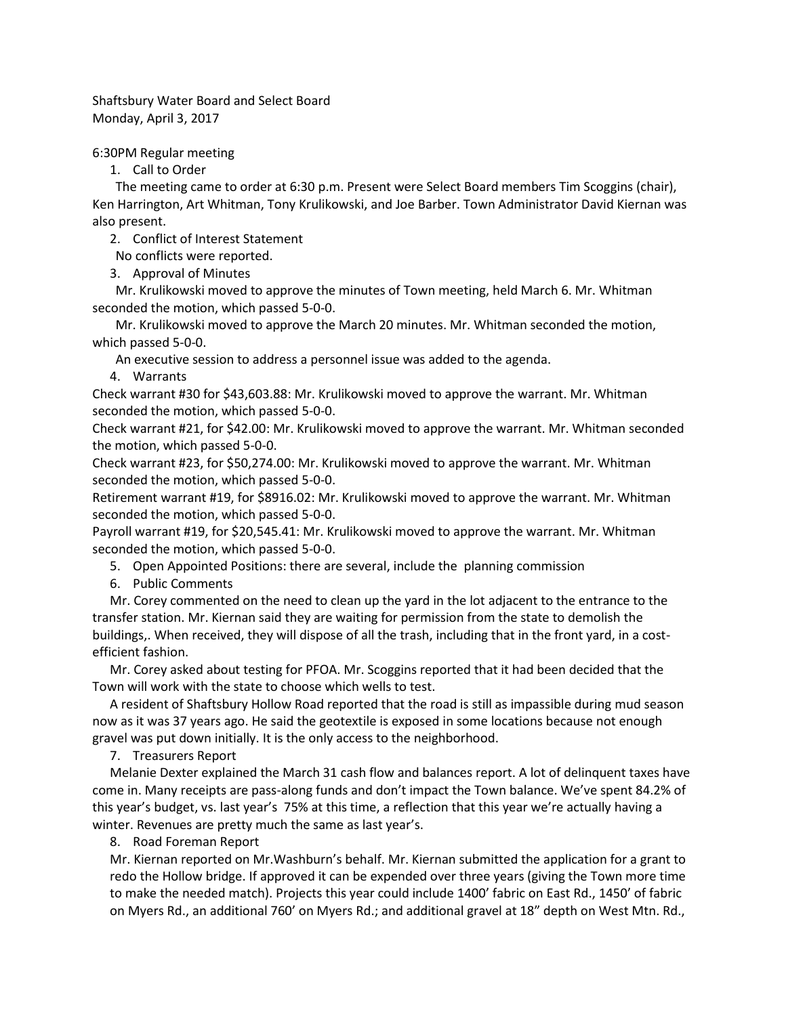Shaftsbury Water Board and Select Board Monday, April 3, 2017

6:30PM Regular meeting

1. Call to Order

The meeting came to order at 6:30 p.m. Present were Select Board members Tim Scoggins (chair), Ken Harrington, Art Whitman, Tony Krulikowski, and Joe Barber. Town Administrator David Kiernan was also present.

2. Conflict of Interest Statement

No conflicts were reported.

3. Approval of Minutes

Mr. Krulikowski moved to approve the minutes of Town meeting, held March 6. Mr. Whitman seconded the motion, which passed 5-0-0.

Mr. Krulikowski moved to approve the March 20 minutes. Mr. Whitman seconded the motion, which passed 5-0-0.

An executive session to address a personnel issue was added to the agenda.

4. Warrants

Check warrant #30 for \$43,603.88: Mr. Krulikowski moved to approve the warrant. Mr. Whitman seconded the motion, which passed 5-0-0.

Check warrant #21, for \$42.00: Mr. Krulikowski moved to approve the warrant. Mr. Whitman seconded the motion, which passed 5-0-0.

Check warrant #23, for \$50,274.00: Mr. Krulikowski moved to approve the warrant. Mr. Whitman seconded the motion, which passed 5-0-0.

Retirement warrant #19, for \$8916.02: Mr. Krulikowski moved to approve the warrant. Mr. Whitman seconded the motion, which passed 5-0-0.

Payroll warrant #19, for \$20,545.41: Mr. Krulikowski moved to approve the warrant. Mr. Whitman seconded the motion, which passed 5-0-0.

5. Open Appointed Positions: there are several, include the planning commission

6. Public Comments

Mr. Corey commented on the need to clean up the yard in the lot adjacent to the entrance to the transfer station. Mr. Kiernan said they are waiting for permission from the state to demolish the buildings,. When received, they will dispose of all the trash, including that in the front yard, in a costefficient fashion.

Mr. Corey asked about testing for PFOA. Mr. Scoggins reported that it had been decided that the Town will work with the state to choose which wells to test.

A resident of Shaftsbury Hollow Road reported that the road is still as impassible during mud season now as it was 37 years ago. He said the geotextile is exposed in some locations because not enough gravel was put down initially. It is the only access to the neighborhood.

7. Treasurers Report

Melanie Dexter explained the March 31 cash flow and balances report. A lot of delinquent taxes have come in. Many receipts are pass-along funds and don't impact the Town balance. We've spent 84.2% of this year's budget, vs. last year's 75% at this time, a reflection that this year we're actually having a winter. Revenues are pretty much the same as last year's.

8. Road Foreman Report

Mr. Kiernan reported on Mr.Washburn's behalf. Mr. Kiernan submitted the application for a grant to redo the Hollow bridge. If approved it can be expended over three years (giving the Town more time to make the needed match). Projects this year could include 1400' fabric on East Rd., 1450' of fabric on Myers Rd., an additional 760' on Myers Rd.; and additional gravel at 18" depth on West Mtn. Rd.,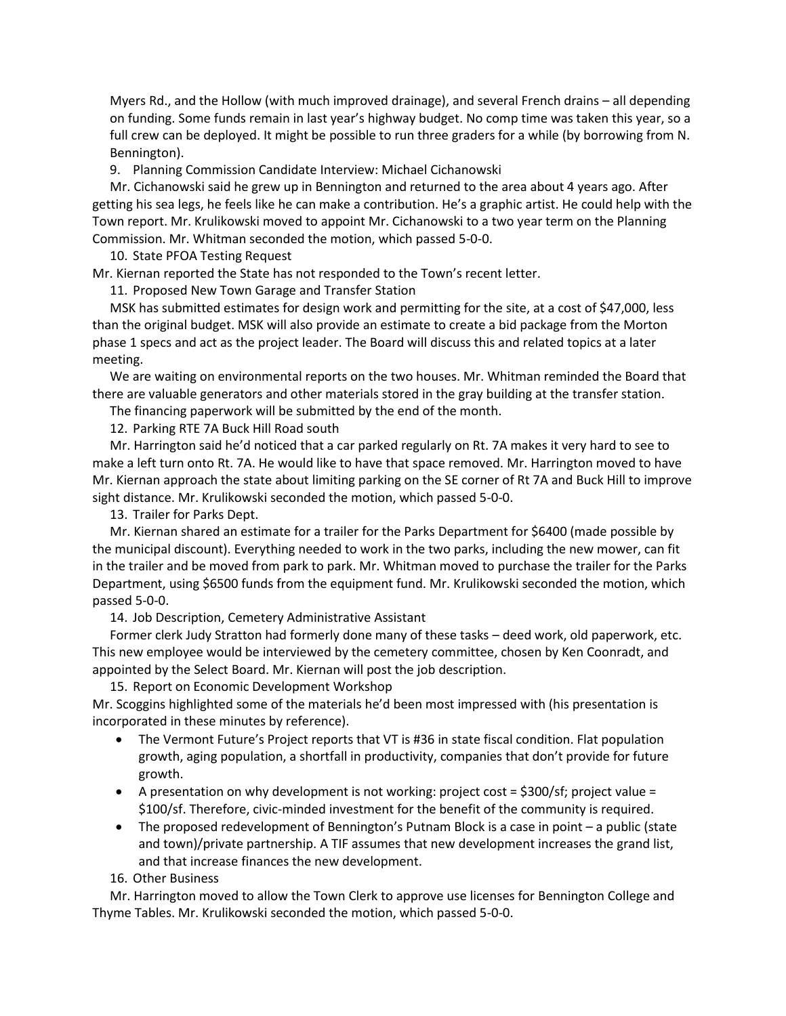Myers Rd., and the Hollow (with much improved drainage), and several French drains – all depending on funding. Some funds remain in last year's highway budget. No comp time was taken this year, so a full crew can be deployed. It might be possible to run three graders for a while (by borrowing from N. Bennington).

9. Planning Commission Candidate Interview: Michael Cichanowski

Mr. Cichanowski said he grew up in Bennington and returned to the area about 4 years ago. After getting his sea legs, he feels like he can make a contribution. He's a graphic artist. He could help with the Town report. Mr. Krulikowski moved to appoint Mr. Cichanowski to a two year term on the Planning Commission. Mr. Whitman seconded the motion, which passed 5-0-0.

10. State PFOA Testing Request

Mr. Kiernan reported the State has not responded to the Town's recent letter.

11. Proposed New Town Garage and Transfer Station

MSK has submitted estimates for design work and permitting for the site, at a cost of \$47,000, less than the original budget. MSK will also provide an estimate to create a bid package from the Morton phase 1 specs and act as the project leader. The Board will discuss this and related topics at a later meeting.

We are waiting on environmental reports on the two houses. Mr. Whitman reminded the Board that there are valuable generators and other materials stored in the gray building at the transfer station.

The financing paperwork will be submitted by the end of the month.

12. Parking RTE 7A Buck Hill Road south

Mr. Harrington said he'd noticed that a car parked regularly on Rt. 7A makes it very hard to see to make a left turn onto Rt. 7A. He would like to have that space removed. Mr. Harrington moved to have Mr. Kiernan approach the state about limiting parking on the SE corner of Rt 7A and Buck Hill to improve sight distance. Mr. Krulikowski seconded the motion, which passed 5-0-0.

13. Trailer for Parks Dept.

Mr. Kiernan shared an estimate for a trailer for the Parks Department for \$6400 (made possible by the municipal discount). Everything needed to work in the two parks, including the new mower, can fit in the trailer and be moved from park to park. Mr. Whitman moved to purchase the trailer for the Parks Department, using \$6500 funds from the equipment fund. Mr. Krulikowski seconded the motion, which passed 5-0-0.

14. Job Description, Cemetery Administrative Assistant

Former clerk Judy Stratton had formerly done many of these tasks – deed work, old paperwork, etc. This new employee would be interviewed by the cemetery committee, chosen by Ken Coonradt, and appointed by the Select Board. Mr. Kiernan will post the job description.

15. Report on Economic Development Workshop

Mr. Scoggins highlighted some of the materials he'd been most impressed with (his presentation is incorporated in these minutes by reference).

- The Vermont Future's Project reports that VT is #36 in state fiscal condition. Flat population growth, aging population, a shortfall in productivity, companies that don't provide for future growth.
- A presentation on why development is not working: project cost = \$300/sf; project value = \$100/sf. Therefore, civic-minded investment for the benefit of the community is required.
- The proposed redevelopment of Bennington's Putnam Block is a case in point a public (state and town)/private partnership. A TIF assumes that new development increases the grand list, and that increase finances the new development.

16. Other Business

Mr. Harrington moved to allow the Town Clerk to approve use licenses for Bennington College and Thyme Tables. Mr. Krulikowski seconded the motion, which passed 5-0-0.